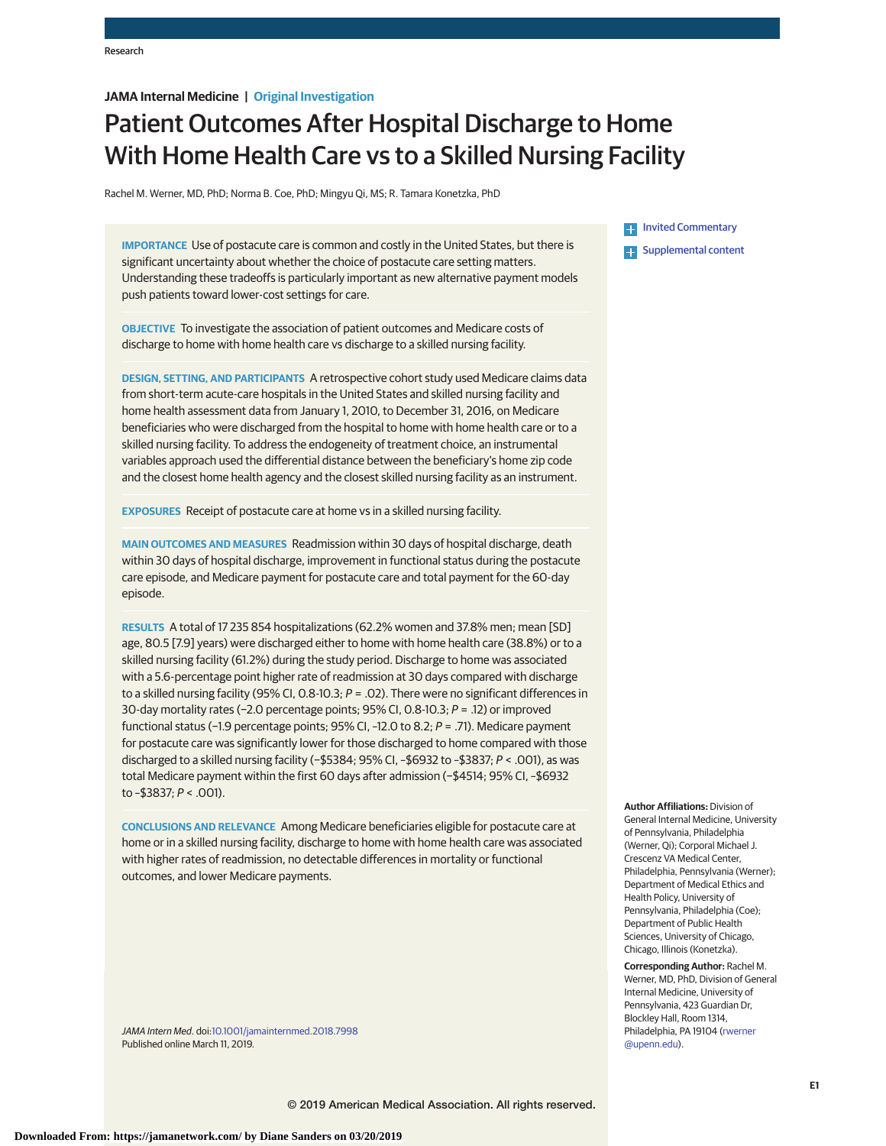## **JAMA Internal Medicine | Original Investigation**

# Patient Outcomes After Hospital Discharge to Home With Home Health Care vs to a Skilled Nursing Facility

Rachel M. Werner, MD, PhD; Norma B. Coe, PhD; Mingyu Qi, MS; R. Tamara Konetzka, PhD

**IMPORTANCE** Use of postacute care is common and costly in the United States, but there is significant uncertainty about whether the choice of postacute care setting matters. Understanding these tradeoffs is particularly important as new alternative payment models push patients toward lower-cost settings for care.

**OBJECTIVE** To investigate the association of patient outcomes and Medicare costs of discharge to home with home health care vs discharge to a skilled nursing facility.

**DESIGN, SETTING, AND PARTICIPANTS** A retrospective cohort study used Medicare claims data from short-term acute-care hospitals in the United States and skilled nursing facility and home health assessment data from January 1, 2010, to December 31, 2016, on Medicare beneficiaries who were discharged from the hospital to home with home health care or to a skilled nursing facility. To address the endogeneity of treatment choice, an instrumental variables approach used the differential distance between the beneficiary's home zip code and the closest home health agency and the closest skilled nursing facility as an instrument.

**EXPOSURES** Receipt of postacute care at home vs in a skilled nursing facility.

**MAIN OUTCOMES AND MEASURES** Readmission within 30 days of hospital discharge, death within 30 days of hospital discharge, improvement in functional status during the postacute care episode, and Medicare payment for postacute care and total payment for the 60-day episode.

**RESULTS** A total of 17 235 854 hospitalizations (62.2% women and 37.8% men; mean [SD] age, 80.5 [7.9] years) were discharged either to home with home health care (38.8%) or to a skilled nursing facility (61.2%) during the study period. Discharge to home was associated with a 5.6-percentage point higher rate of readmission at 30 days compared with discharge to a skilled nursing facility (95% CI, 0.8-10.3; P = .02). There were no significant differences in 30-day mortality rates (−2.0 percentage points; 95% CI, 0.8-10.3; P = .12) or improved functional status (−1.9 percentage points; 95% CI, –12.0 to 8.2; P = .71). Medicare payment for postacute care was significantly lower for those discharged to home compared with those discharged to a skilled nursing facility (−\$5384; 95% CI, –\$6932 to –\$3837; P < .001), as was total Medicare payment within the first 60 days after admission (−\$4514; 95% CI, –\$6932 to –\$3837; P < .001).

**CONCLUSIONS AND RELEVANCE** Among Medicare beneficiaries eligible for postacute care at home or in a skilled nursing facility, discharge to home with home health care was associated with higher rates of readmission, no detectable differences in mortality or functional outcomes, and lower Medicare payments.

JAMA Intern Med. doi[:10.1001/jamainternmed.2018.7998](https://jama.jamanetwork.com/article.aspx?doi=10.1001/jamainternmed.2018.7998&utm_campaign=articlePDF%26utm_medium=articlePDFlink%26utm_source=articlePDF%26utm_content=jamainternmed.2018.7998) Published online March 11, 2019.

**[Invited Commentary](https://jama.jamanetwork.com/article.aspx?doi=10.1001/jamainternmed.2019.0232&utm_campaign=articlePDF%26utm_medium=articlePDFlink%26utm_source=articlePDF%26utm_content=jamainternmed.2018.7998) Examplemental content** 

**Author Affiliations:** Division of General Internal Medicine, University of Pennsylvania, Philadelphia (Werner, Qi); Corporal Michael J. Crescenz VA Medical Center, Philadelphia, Pennsylvania (Werner); Department of Medical Ethics and Health Policy, University of Pennsylvania, Philadelphia (Coe); Department of Public Health Sciences, University of Chicago, Chicago, Illinois (Konetzka).

**Corresponding Author:** Rachel M. Werner, MD, PhD, Division of General Internal Medicine, University of Pennsylvania, 423 Guardian Dr, Blockley Hall, Room 1314, Philadelphia, PA 19104 [\(rwerner](mailto:rwerner@upenn.edu) [@upenn.edu\)](mailto:rwerner@upenn.edu).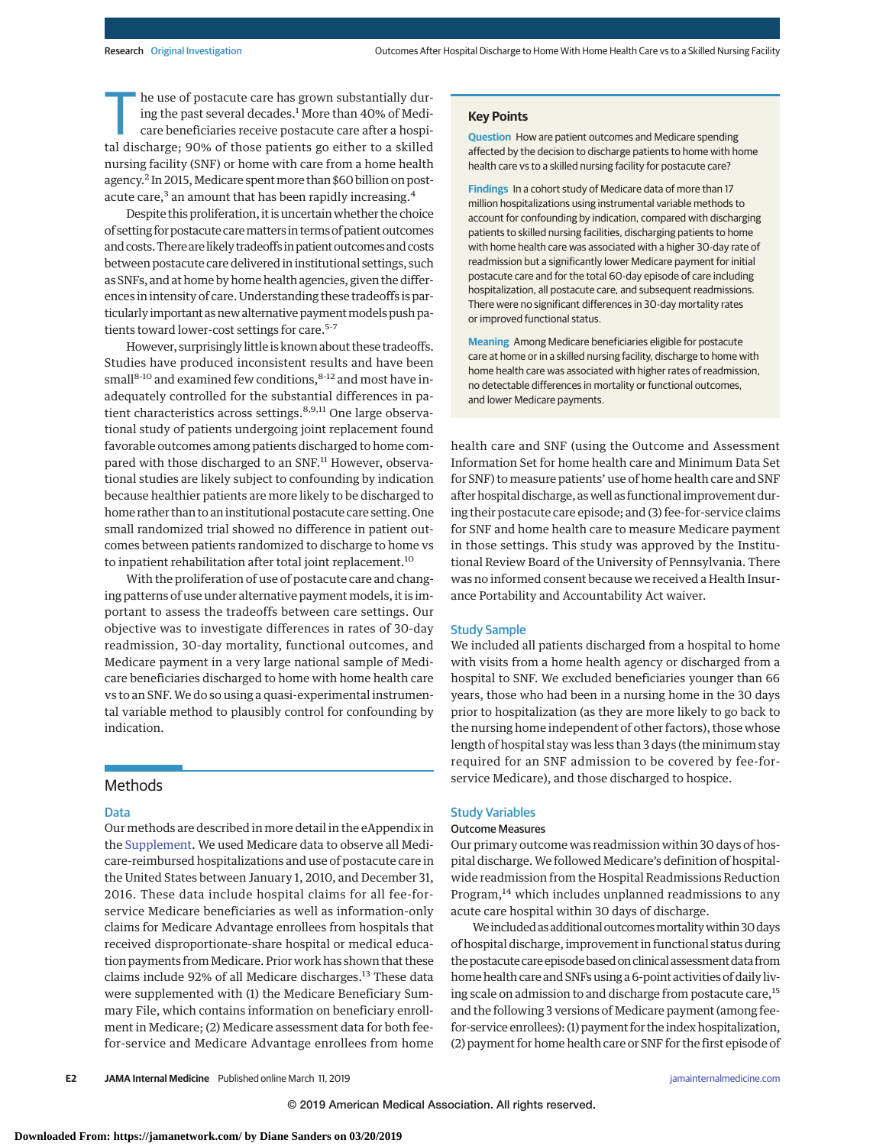he use of postacute care has grown substantially during the past several decades.<sup>1</sup> More than  $40\%$  of Medicare beneficiaries receive postacute care after a hospital discharge; 90% of those patients go either to a skilled nursing facility (SNF) or home with care from a home health agency.<sup>2</sup> In 2015, Medicare spent more than \$60 billion on postacute care,<sup>3</sup> an amount that has been rapidly increasing.<sup>4</sup>

Despite this proliferation, it is uncertain whether the choice of setting for postacute care matters in terms of patient outcomes and costs. There are likely tradeoffs in patient outcomes and costs between postacute care delivered in institutional settings, such as SNFs, and at home by home health agencies, given the differences in intensity of care. Understanding these tradeoffs is particularly important as new alternative payment models push patients toward lower-cost settings for care.<sup>5-7</sup>

However, surprisingly little is known about these tradeoffs. Studies have produced inconsistent results and have been small $8-10$  and examined few conditions,  $8-12$  and most have inadequately controlled for the substantial differences in patient characteristics across settings.<sup>8,9,11</sup> One large observational study of patients undergoing joint replacement found favorable outcomes among patients discharged to home compared with those discharged to an SNF.<sup>11</sup> However, observational studies are likely subject to confounding by indication because healthier patients are more likely to be discharged to home rather than to an institutional postacute care setting. One small randomized trial showed no difference in patient outcomes between patients randomized to discharge to home vs to inpatient rehabilitation after total joint replacement.<sup>10</sup>

With the proliferation of use of postacute care and changing patterns of use under alternative payment models, it is important to assess the tradeoffs between care settings. Our objective was to investigate differences in rates of 30-day readmission, 30-day mortality, functional outcomes, and Medicare payment in a very large national sample of Medicare beneficiaries discharged to home with home health care vs to an SNF. We do so using a quasi-experimental instrumental variable method to plausibly control for confounding by indication.

## Methods

#### Data

Our methods are described in more detail in the eAppendix in the [Supplement.](https://jama.jamanetwork.com/article.aspx?doi=10.1001/jamainternmed.2018.7998&utm_campaign=articlePDF%26utm_medium=articlePDFlink%26utm_source=articlePDF%26utm_content=jamainternmed.2018.7998) We used Medicare data to observe all Medicare-reimbursed hospitalizations and use of postacute care in the United States between January 1, 2010, and December 31, 2016. These data include hospital claims for all fee-forservice Medicare beneficiaries as well as information-only claims for Medicare Advantage enrollees from hospitals that received disproportionate-share hospital or medical education payments from Medicare. Prior work has shown that these claims include 92% of all Medicare discharges.<sup>13</sup> These data were supplemented with (1) the Medicare Beneficiary Summary File, which contains information on beneficiary enrollment in Medicare; (2) Medicare assessment data for both feefor-service and Medicare Advantage enrollees from home

#### **Key Points**

**Question** How are patient outcomes and Medicare spending affected by the decision to discharge patients to home with home health care vs to a skilled nursing facility for postacute care?

**Findings** In a cohort study of Medicare data of more than 17 million hospitalizations using instrumental variable methods to account for confounding by indication, compared with discharging patients to skilled nursing facilities, discharging patients to home with home health care was associated with a higher 30-day rate of readmission but a significantly lower Medicare payment for initial postacute care and for the total 60-day episode of care including hospitalization, all postacute care, and subsequent readmissions. There were no significant differences in 30-day mortality rates or improved functional status.

**Meaning** Among Medicare beneficiaries eligible for postacute care at home or in a skilled nursing facility, discharge to home with home health care was associated with higher rates of readmission, no detectable differences in mortality or functional outcomes, and lower Medicare payments.

health care and SNF (using the Outcome and Assessment Information Set for home health care and Minimum Data Set for SNF) to measure patients' use of home health care and SNF after hospital discharge, aswell as functional improvement during their postacute care episode; and (3) fee-for-service claims for SNF and home health care to measure Medicare payment in those settings. This study was approved by the Institutional Review Board of the University of Pennsylvania. There was no informed consent because we received a Health Insurance Portability and Accountability Act waiver.

## Study Sample

We included all patients discharged from a hospital to home with visits from a home health agency or discharged from a hospital to SNF. We excluded beneficiaries younger than 66 years, those who had been in a nursing home in the 30 days prior to hospitalization (as they are more likely to go back to the nursing home independent of other factors), those whose length of hospital stay was less than 3 days (the minimum stay required for an SNF admission to be covered by fee-forservice Medicare), and those discharged to hospice.

## Study Variables

## Outcome Measures

Our primary outcome was readmission within 30 days of hospital discharge.We followed Medicare's definition of hospitalwide readmission from the Hospital Readmissions Reduction Program,<sup>14</sup> which includes unplanned readmissions to any acute care hospital within 30 days of discharge.

We included as additional outcomes mortality within 30 days of hospital discharge, improvement in functional status during the postacute care episode based on clinical assessment data from home health care and SNFs using a 6-point activities of daily living scale on admission to and discharge from postacute care,<sup>15</sup> and the following 3 versions of Medicare payment (among feefor-service enrollees): (1) payment for the index hospitalization, (2) payment for home health care or SNF for the first episode of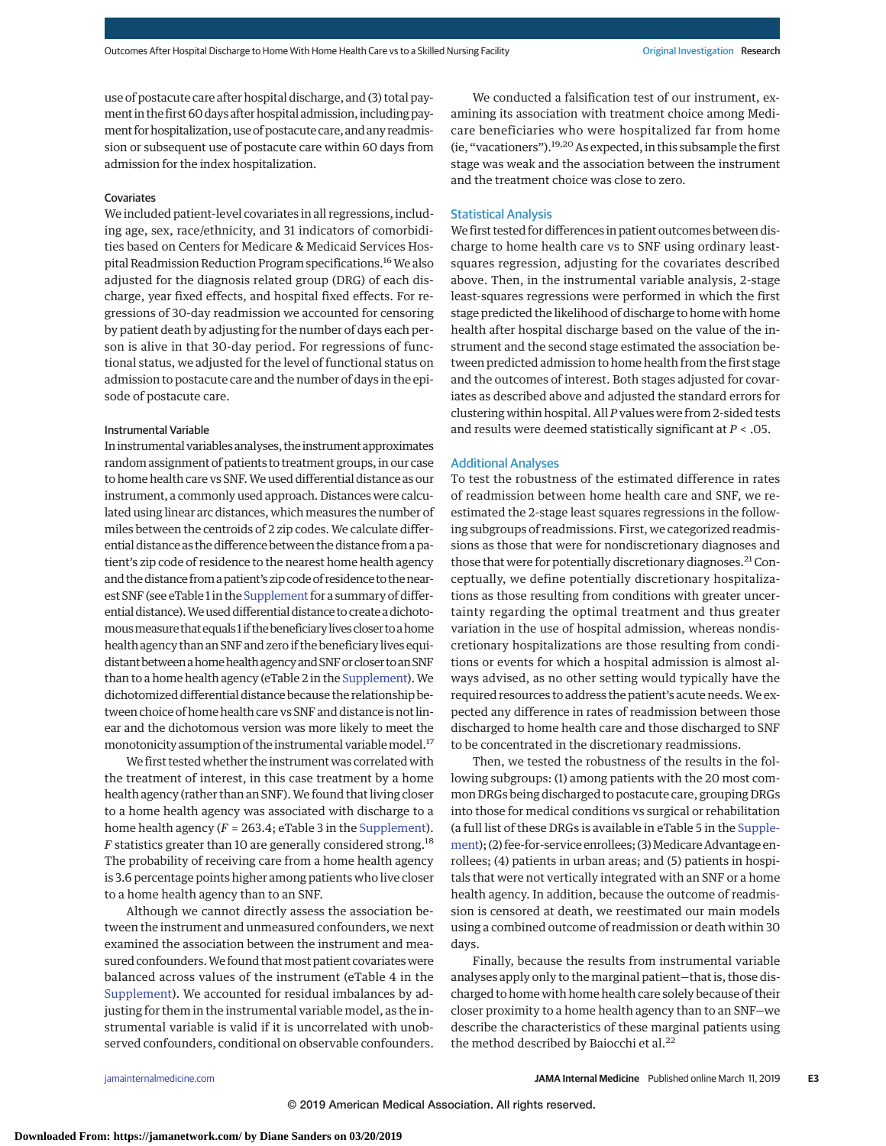use of postacute care after hospital discharge, and (3) total payment in the first 60 days after hospital admission, including payment for hospitalization, use of postacute care, and any readmission or subsequent use of postacute care within 60 days from admission for the index hospitalization.

## Covariates

We included patient-level covariates in all regressions, including age, sex, race/ethnicity, and 31 indicators of comorbidities based on Centers for Medicare & Medicaid Services Hospital Readmission Reduction Program specifications.16We also adjusted for the diagnosis related group (DRG) of each discharge, year fixed effects, and hospital fixed effects. For regressions of 30-day readmission we accounted for censoring by patient death by adjusting for the number of days each person is alive in that 30-day period. For regressions of functional status, we adjusted for the level of functional status on admission to postacute care and the number of days in the episode of postacute care.

## Instrumental Variable

In instrumental variables analyses, the instrument approximates random assignment of patients to treatment groups, in our case to home health care vs SNF.We used differential distance as our instrument, a commonly used approach. Distances were calculated using linear arc distances, which measures the number of miles between the centroids of 2 zip codes. We calculate differential distance as the difference between the distance from a patient's zip code of residence to the nearest home health agency and the distance from a patient's zip code of residence to the near-est SNF (see eTable 1 in the [Supplement](https://jama.jamanetwork.com/article.aspx?doi=10.1001/jamainternmed.2018.7998&utm_campaign=articlePDF%26utm_medium=articlePDFlink%26utm_source=articlePDF%26utm_content=jamainternmed.2018.7998) for a summary of differential distance). We used differential distance to create a dichotomous measure that equals 1 if the beneficiary lives closer to a home health agency than an SNF and zero if the beneficiary lives equidistant between a home health agency and SNF or closer to an SNF than to a home health agency (eTable 2 in the [Supplement\)](https://jama.jamanetwork.com/article.aspx?doi=10.1001/jamainternmed.2018.7998&utm_campaign=articlePDF%26utm_medium=articlePDFlink%26utm_source=articlePDF%26utm_content=jamainternmed.2018.7998).We dichotomized differential distance because the relationship between choice of home health care vs SNF and distance is not linear and the dichotomous version was more likely to meet the monotonicity assumption of the instrumental variable model.<sup>17</sup>

We first tested whether the instrument was correlated with the treatment of interest, in this case treatment by a home health agency (rather than an SNF). We found that living closer to a home health agency was associated with discharge to a home health agency (*F* = 263.4; eTable 3 in the [Supplement\)](https://jama.jamanetwork.com/article.aspx?doi=10.1001/jamainternmed.2018.7998&utm_campaign=articlePDF%26utm_medium=articlePDFlink%26utm_source=articlePDF%26utm_content=jamainternmed.2018.7998). *F* statistics greater than 10 are generally considered strong.<sup>18</sup> The probability of receiving care from a home health agency is 3.6 percentage points higher among patients who live closer to a home health agency than to an SNF.

Although we cannot directly assess the association between the instrument and unmeasured confounders, we next examined the association between the instrument and measured confounders. We found that most patient covariates were balanced across values of the instrument (eTable 4 in the [Supplement\)](https://jama.jamanetwork.com/article.aspx?doi=10.1001/jamainternmed.2018.7998&utm_campaign=articlePDF%26utm_medium=articlePDFlink%26utm_source=articlePDF%26utm_content=jamainternmed.2018.7998). We accounted for residual imbalances by adjusting for them in the instrumental variable model, as the instrumental variable is valid if it is uncorrelated with unobserved confounders, conditional on observable confounders.

We conducted a falsification test of our instrument, examining its association with treatment choice among Medicare beneficiaries who were hospitalized far from home (ie, "vacationers").19,20As expected, in this subsample the first stage was weak and the association between the instrument and the treatment choice was close to zero.

## Statistical Analysis

We first tested for differences in patient outcomes between discharge to home health care vs to SNF using ordinary leastsquares regression, adjusting for the covariates described above. Then, in the instrumental variable analysis, 2-stage least-squares regressions were performed in which the first stage predicted the likelihood of discharge to home with home health after hospital discharge based on the value of the instrument and the second stage estimated the association between predicted admission to home health from the first stage and the outcomes of interest. Both stages adjusted for covariates as described above and adjusted the standard errors for clustering within hospital. All *P* values were from 2-sided tests and results were deemed statistically significant at *P* < .05.

#### Additional Analyses

To test the robustness of the estimated difference in rates of readmission between home health care and SNF, we reestimated the 2-stage least squares regressions in the following subgroups of readmissions. First, we categorized readmissions as those that were for nondiscretionary diagnoses and those that were for potentially discretionary diagnoses.<sup>21</sup> Conceptually, we define potentially discretionary hospitalizations as those resulting from conditions with greater uncertainty regarding the optimal treatment and thus greater variation in the use of hospital admission, whereas nondiscretionary hospitalizations are those resulting from conditions or events for which a hospital admission is almost always advised, as no other setting would typically have the required resources to address the patient's acute needs.We expected any difference in rates of readmission between those discharged to home health care and those discharged to SNF to be concentrated in the discretionary readmissions.

Then, we tested the robustness of the results in the following subgroups: (1) among patients with the 20 most common DRGs being discharged to postacute care, grouping DRGs into those for medical conditions vs surgical or rehabilitation (a full list of these DRGs is available in eTable 5 in the [Supple](https://jama.jamanetwork.com/article.aspx?doi=10.1001/jamainternmed.2018.7998&utm_campaign=articlePDF%26utm_medium=articlePDFlink%26utm_source=articlePDF%26utm_content=jamainternmed.2018.7998)[ment\)](https://jama.jamanetwork.com/article.aspx?doi=10.1001/jamainternmed.2018.7998&utm_campaign=articlePDF%26utm_medium=articlePDFlink%26utm_source=articlePDF%26utm_content=jamainternmed.2018.7998); (2) fee-for-service enrollees; (3) Medicare Advantage enrollees; (4) patients in urban areas; and (5) patients in hospitals that were not vertically integrated with an SNF or a home health agency. In addition, because the outcome of readmission is censored at death, we reestimated our main models using a combined outcome of readmission or death within 30 days.

Finally, because the results from instrumental variable analyses apply only to the marginal patient—that is, those discharged to home with home health care solely because of their closer proximity to a home health agency than to an SNF—we describe the characteristics of these marginal patients using the method described by Baiocchi et al.<sup>22</sup>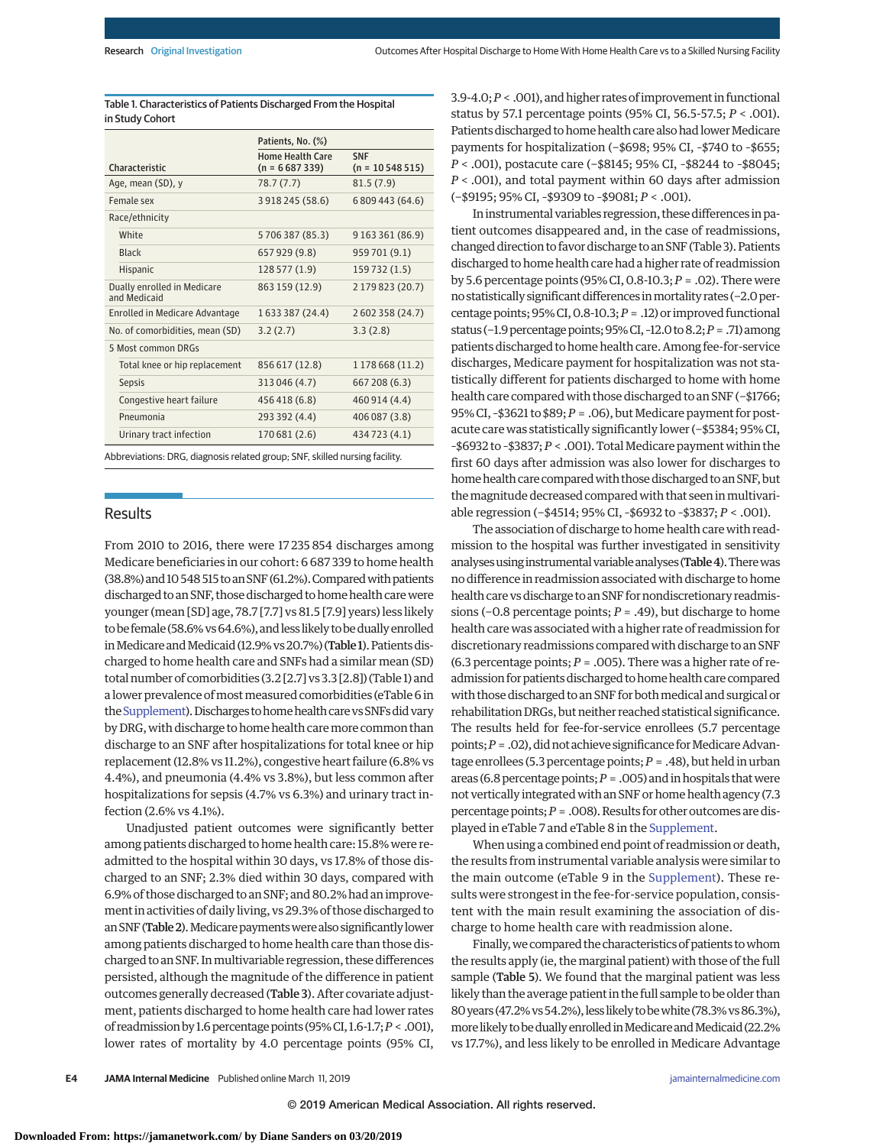in Study Cohort

|                                             | Patients, No. (%)                          |                                |  |
|---------------------------------------------|--------------------------------------------|--------------------------------|--|
| Characteristic                              | <b>Home Health Care</b><br>$(n = 6687339)$ | <b>SNF</b><br>$(n = 10548515)$ |  |
| Age, mean (SD), y                           | 78.7 (7.7)                                 | 81.5(7.9)                      |  |
| Female sex                                  | 3 918 245 (58.6)                           | 6 809 443 (64.6)               |  |
| Race/ethnicity                              |                                            |                                |  |
| White                                       | 5 706 387 (85.3)                           | 9 163 361 (86.9)               |  |
| Black                                       | 657 929 (9.8)                              | 959 701 (9.1)                  |  |
| Hispanic                                    | 128 577 (1.9)                              | 159 732 (1.5)                  |  |
| Dually enrolled in Medicare<br>and Medicaid | 863 159 (12.9)                             | 2 179 823 (20.7)               |  |
| Enrolled in Medicare Advantage              | 1633387 (24.4)                             | 2602358 (24.7)                 |  |
| No. of comorbidities, mean (SD)             | 3.2(2.7)                                   | 3.3(2.8)                       |  |
| 5 Most common DRGs                          |                                            |                                |  |
| Total knee or hip replacement               | 856 617 (12.8)                             | 1 178 668 (11.2)               |  |
| Sepsis                                      | 313 046 (4.7)                              | 667 208 (6.3)                  |  |
| Congestive heart failure                    | 456418 (6.8)                               | 460 914 (4.4)                  |  |
| Pneumonia                                   | 293 392 (4.4)                              | 406 087 (3.8)                  |  |
| Urinary tract infection                     | 170 681 (2.6)                              | 434723 (4.1)                   |  |

Table 1. Characteristics of Patients Discharged From the Hospital

Abbreviations: DRG, diagnosis related group; SNF, skilled nursing facility.

## **Results**

From 2010 to 2016, there were 17 235 854 discharges among Medicare beneficiaries in our cohort: 6 687 339 to home health (38.8%) and 10 548 515 to an SNF (61.2%). Compared with patients discharged to an SNF, those discharged to home health care were younger (mean [SD] age, 78.7 [7.7] vs 81.5 [7.9] years) less likely tobe female (58.6%vs64.6%), and less likely tobedually enrolled in Medicare and Medicaid (12.9% vs 20.7%) (Table 1). Patients discharged to home health care and SNFs had a similar mean (SD) total number of comorbidities (3.2 [2.7] vs 3.3 [2.8]) (Table 1) and a lower prevalence of most measured comorbidities (eTable 6 in the Supplement). Discharges to home health care vs SNFs did vary by DRG, with discharge to home health care more common than discharge to an SNF after hospitalizations for total knee or hip replacement (12.8% vs 11.2%), congestive heart failure (6.8% vs 4.4%), and pneumonia (4.4% vs 3.8%), but less common after hospitalizations for sepsis (4.7% vs 6.3%) and urinary tract infection (2.6% vs 4.1%).

Unadjusted patient outcomes were significantly better among patients discharged to home health care: 15.8% were readmitted to the hospital within 30 days, vs 17.8% of those discharged to an SNF; 2.3% died within 30 days, compared with 6.9% of those discharged to an SNF; and 80.2% had an improvement in activities of daily living, vs 29.3% of those discharged to an SNF (Table 2). Medicare payments were also significantly lower among patients discharged to home health care than those discharged to an SNF. Inmultivariable regression, these differences persisted, although the magnitude of the difference in patient outcomes generally decreased (Table 3). After covariate adjustment, patients discharged to home health care had lower rates of readmissionby 1.6percentagepoints (95%CI, 1.6-1.7;*P* < .001), lower rates of mortality by 4.0 percentage points (95% CI,

3.9-4.0;*P* < .001), andhigher rates of improvement in functional status by 57.1 percentage points (95% CI, 56.5-57.5; *P* < .001). Patients discharged to home health care also had lower Medicare payments for hospitalization (−\$698; 95% CI, –\$740 to –\$655; *P* < .001), postacute care (−\$8145; 95% CI, -\$8244 to -\$8045; *P* < .001), and total payment within 60 days after admission (−\$9195; 95% CI, –\$9309 to –\$9081; *P* < .001).

In instrumental variables regression, thesedifferences in patient outcomes disappeared and, in the case of readmissions, changed direction to favor discharge to an SNF (Table 3). Patients discharged to home health care had a higher rate of readmission by 5.6 percentage points (95% CI, 0.8-10.3;*P* = .02). There were no statistically significantdifferences inmortality rates (−2.0percentage points;  $95\%$  CI, 0.8-10.3;  $P = .12$ ) or improved functional status (−1.9percentagepoints;95%CI,–12.0 to8.2;*P* = .71) among patients discharged to home health care. Among fee-for-service discharges, Medicare payment for hospitalization was not statistically different for patients discharged to home with home health care compared with those discharged to an SNF (−\$1766; 95% CI, -\$3621 to \$89; P = .06), but Medicare payment for postacute care was statistically significantly lower (−\$5384; 95% CI, –\$6932 to –\$3837;*P* < .001). TotalMedicare payment within the first 60 days after admission was also lower for discharges to home health care compared with those discharged to an SNF, but the magnitude decreased compared with that seen in multivariable regression (−\$4514; 95% CI, –\$6932 to –\$3837; *P* < .001).

The association of discharge to home health care with readmission to the hospital was further investigated in sensitivity analyses using instrumental variable analyses (Table 4). There was no difference in readmission associated with discharge to home health care vs discharge to an SNF for nondiscretionary readmissions (−0.8 percentage points; *P* = .49), but discharge to home health care was associated with a higher rate of readmission for discretionary readmissions compared with discharge to an SNF (6.3 percentage points; *P* = .005). There was a higher rate of readmission for patients discharged to home health care compared with those discharged to an SNF for both medical and surgical or rehabilitation DRGs, but neither reached statistical significance. The results held for fee-for-service enrollees (5.7 percentage points;  $P = .02$ ), did not achieve significance for Medicare Advantage enrollees (5.3 percentage points;*P* = .48), but held in urban areas (6.8 percentage points;  $P = .005$ ) and in hospitals that were not vertically integrated with an SNF or home health agency (7.3) percentage points;  $P = .008$ ). Results for other outcomes are displayed in eTable 7 and eTable 8 in the [Supplement.](https://jama.jamanetwork.com/article.aspx?doi=10.1001/jamainternmed.2018.7998&utm_campaign=articlePDF%26utm_medium=articlePDFlink%26utm_source=articlePDF%26utm_content=jamainternmed.2018.7998)

When using a combined end point of readmission or death, the results from instrumental variable analysis were similar to the main outcome (eTable 9 in the [Supplement\)](https://jama.jamanetwork.com/article.aspx?doi=10.1001/jamainternmed.2018.7998&utm_campaign=articlePDF%26utm_medium=articlePDFlink%26utm_source=articlePDF%26utm_content=jamainternmed.2018.7998). These results were strongest in the fee-for-service population, consistent with the main result examining the association of discharge to home health care with readmission alone.

Finally, we compared the characteristics of patients to whom the results apply (ie, the marginal patient) with those of the full sample (Table 5). We found that the marginal patient was less likely than the average patient in the full sample to be older than 80 years (47.2% vs 54.2%), less likely to be white (78.3% vs 86.3%), more likely to be dually enrolled in Medicare and Medicaid (22.2% vs 17.7%), and less likely to be enrolled in Medicare Advantage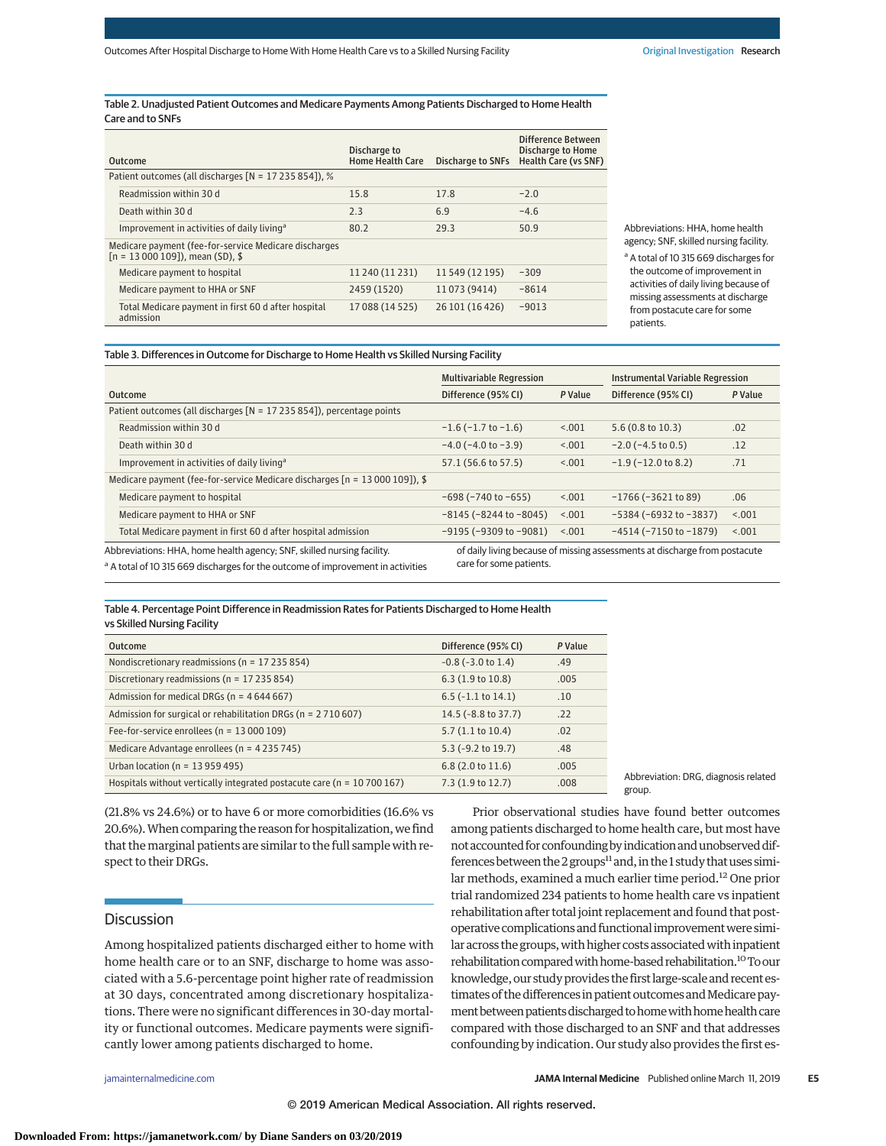## Table 2. Unadjusted Patient Outcomes and Medicare Payments Among Patients Discharged to Home Health Care and to SNFs

| Outcome                                                                                   | Discharge to<br><b>Home Health Care</b> | Discharge to SNFs | Difference Between<br>Discharge to Home<br><b>Health Care (vs SNF)</b> |
|-------------------------------------------------------------------------------------------|-----------------------------------------|-------------------|------------------------------------------------------------------------|
| Patient outcomes (all discharges $[N = 17235854]$ ), %                                    |                                         |                   |                                                                        |
| Readmission within 30 d                                                                   | 15.8                                    | 17.8              | $-20$                                                                  |
| Death within 30 d                                                                         | 2.3                                     | 6.9               | $-4.6$                                                                 |
| Improvement in activities of daily living <sup>a</sup>                                    | 80.2                                    | 29.3              | 50.9                                                                   |
| Medicare payment (fee-for-service Medicare discharges<br>$[n = 13000109]$ , mean (SD), \$ |                                         |                   |                                                                        |
| Medicare payment to hospital                                                              | 11 240 (11 231)                         | 11 549 (12 195)   | $-309$                                                                 |
| Medicare payment to HHA or SNF                                                            | 2459 (1520)                             | 11073 (9414)      | $-8614$                                                                |
| Total Medicare payment in first 60 d after hospital<br>admission                          | 17 088 (14 525)                         | 26 101 (16 426)   | $-9013$                                                                |

Abbreviations: HHA, home health agency; SNF, skilled nursing facility. <sup>a</sup> A total of 10 315 669 discharges for the outcome of improvement in activities of daily living because of missing assessments at discharge from postacute care for some patients.

#### Table 3. Differences in Outcome for Discharge to Home Health vs Skilled Nursing Facility

|                                                                                                                                                           | <b>Multivariable Regression</b> |         | Instrumental Variable Regression                                           |         |
|-----------------------------------------------------------------------------------------------------------------------------------------------------------|---------------------------------|---------|----------------------------------------------------------------------------|---------|
| <b>Outcome</b>                                                                                                                                            | Difference (95% CI)             | P Value | Difference (95% CI)                                                        | P Value |
| Patient outcomes (all discharges [N = 17 235 854]), percentage points                                                                                     |                                 |         |                                                                            |         |
| Readmission within 30 d                                                                                                                                   | $-1.6$ ( $-1.7$ to $-1.6$ )     | < .001  | $5.6(0.8 \text{ to } 10.3)$                                                | .02     |
| Death within 30 d                                                                                                                                         | $-4.0$ ( $-4.0$ to $-3.9$ )     | < .001  | $-2.0$ ( $-4.5$ to 0.5)                                                    | .12     |
| Improvement in activities of daily living <sup>a</sup>                                                                                                    | 57.1 (56.6 to 57.5)             | < .001  | $-1.9$ ( $-12.0$ to 8.2)                                                   | .71     |
| Medicare payment (fee-for-service Medicare discharges $[n = 13000109]$ ), \$                                                                              |                                 |         |                                                                            |         |
| Medicare payment to hospital                                                                                                                              | $-698$ ( $-740$ to $-655$ )     | < .001  | $-1766$ ( $-3621$ to 89)                                                   | .06     |
| Medicare payment to HHA or SNF                                                                                                                            | $-8145$ ( $-8244$ to $-8045$ )  | < .001  | $-5384 (-6932 to -3837)$                                                   | < 0.001 |
| Total Medicare payment in first 60 d after hospital admission                                                                                             | $-9195$ ( $-9309$ to $-9081$ )  | < .001  | $-4514$ ( $-7150$ to $-1879$ )                                             | < 0.001 |
| Abbreviations: HHA, home health agency; SNF, skilled nursing facility.<br>a A total of 10 315 669 discharges for the outcome of improvement in activities | care for some patients.         |         | of daily living because of missing assessments at discharge from postacute |         |

#### Table 4. Percentage Point Difference in Readmission Rates for Patients Discharged to Home Health vs Skilled Nursing Facility

| Outcome                                                                   | Difference (95% CI)         | P Value |
|---------------------------------------------------------------------------|-----------------------------|---------|
| Nondiscretionary readmissions ( $n = 17235854$ )                          | $-0.8$ ( $-3.0$ to 1.4)     | .49     |
| Discretionary readmissions ( $n = 17235854$ )                             | 6.3 (1.9 to 10.8)           | .005    |
| Admission for medical DRGs ( $n = 4644667$ )                              | $6.5$ ( $-1.1$ to $14.1$ )  | .10     |
| Admission for surgical or rehabilitation DRGs ( $n = 2710607$ )           | 14.5 (-8.8 to 37.7)         | .22     |
| Fee-for-service enrollees ( $n = 13000109$ )                              | $5.7(1.1 \text{ to } 10.4)$ | .02     |
| Medicare Advantage enrollees (n = 4235745)                                | 5.3 (-9.2 to 19.7)          | .48     |
| Urban location ( $n = 13959495$ )                                         | 6.8(2.0 to 11.6)            | .005    |
| Hospitals without vertically integrated postacute care ( $n = 10700167$ ) | 7.3 (1.9 to 12.7)           | .008    |

(21.8% vs 24.6%) or to have 6 or more comorbidities (16.6% vs 20.6%). When comparing the reason for hospitalization, we find that the marginal patients are similar to the full sample with respect to their DRGs.

## **Discussion**

Among hospitalized patients discharged either to home with home health care or to an SNF, discharge to home was associated with a 5.6-percentage point higher rate of readmission at 30 days, concentrated among discretionary hospitalizations. There were no significant differences in 30-day mortality or functional outcomes. Medicare payments were significantly lower among patients discharged to home.

Abbreviation: DRG, diagnosis related group.

Prior observational studies have found better outcomes among patients discharged to home health care, but most have not accounted for confounding by indication and unobserved differences between the  $2$  groups $^{11}$  and, in the 1 study that uses similar methods, examined a much earlier time period.<sup>12</sup> One prior trial randomized 234 patients to home health care vs inpatient rehabilitation after total joint replacement and found that postoperative complications and functional improvement were similar across the groups, with higher costs associated with inpatient rehabilitation compared with home-based rehabilitation.<sup>10</sup>To our knowledge, our study provides the first large-scale and recent estimates of the differences in patient outcomes and Medicare payment between patients discharged to home with home health care compared with those discharged to an SNF and that addresses confounding by indication. Our study also provides the first es-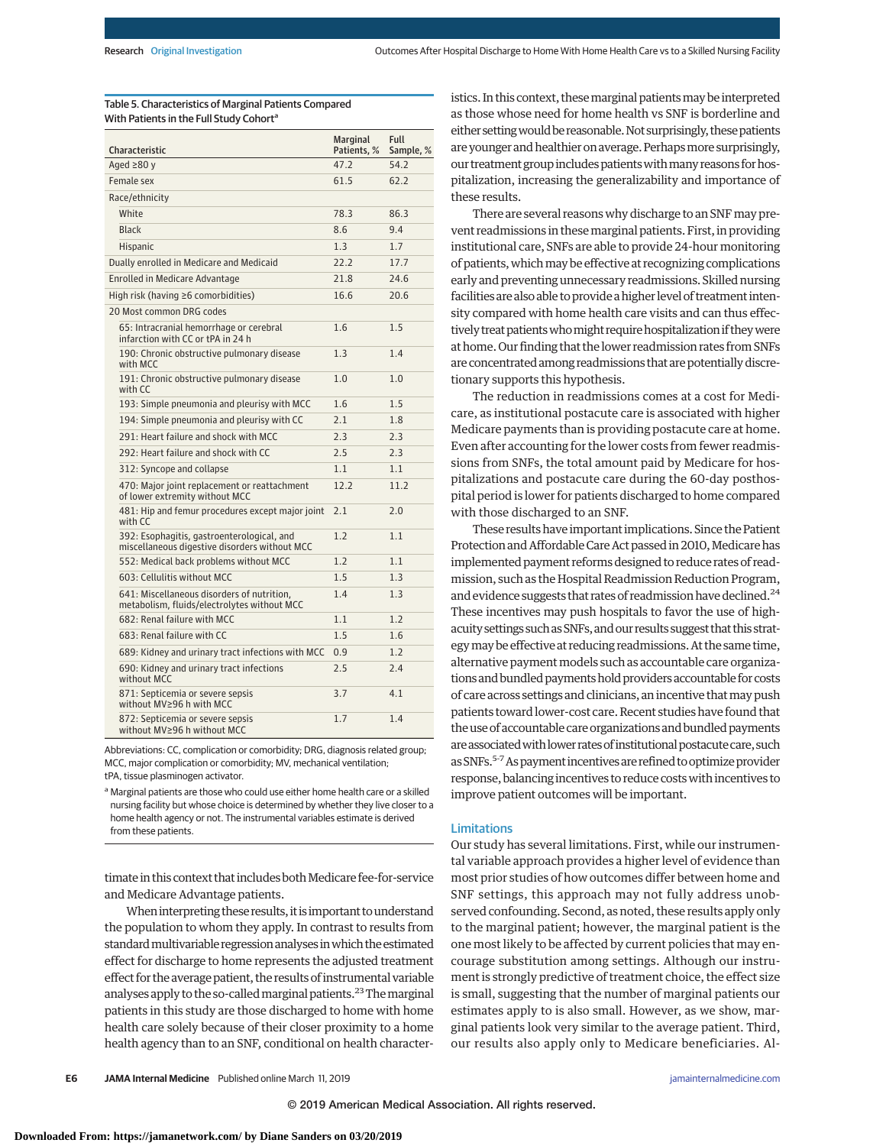## Table 5. Characteristics of Marginal Patients Compared With Patients in the Full Study Cohort<sup>a</sup>

| <b>Characteristic</b>                                                                       | <b>Marginal</b><br>Patients, % | Full<br>Sample, % |
|---------------------------------------------------------------------------------------------|--------------------------------|-------------------|
| Aged $\geq 80$ v                                                                            | 47.2                           | 54.2              |
| Female sex                                                                                  | 61.5                           | 62.2              |
| Race/ethnicity                                                                              |                                |                   |
| White                                                                                       | 78.3                           | 86.3              |
| <b>Black</b>                                                                                | 8.6                            | 94                |
| Hispanic                                                                                    | 1.3                            | 1.7               |
| Dually enrolled in Medicare and Medicaid                                                    | 22.2                           | 17.7              |
| Enrolled in Medicare Advantage                                                              | 21.8                           | 24.6              |
| High risk (having ≥6 comorbidities)                                                         | 16.6                           | 20.6              |
| 20 Most common DRG codes                                                                    |                                |                   |
| 65: Intracranial hemorrhage or cerebral<br>infarction with CC or tPA in 24 h                | 1.6                            | 1.5               |
| 190: Chronic obstructive pulmonary disease<br>with MCC                                      | 1.3                            | 1.4               |
| 191: Chronic obstructive pulmonary disease<br>with CC                                       | 1.0                            | 1.0               |
| 193: Simple pneumonia and pleurisy with MCC                                                 | 1.6                            | 1.5               |
| 194: Simple pneumonia and pleurisy with CC                                                  | 2.1                            | 1.8               |
| 291: Heart failure and shock with MCC                                                       | 2.3                            | 2.3               |
| 292: Heart failure and shock with CC                                                        | 2.5                            | 2.3               |
| 312: Syncope and collapse                                                                   | 1.1                            | 1.1               |
| 470: Major joint replacement or reattachment<br>of lower extremity without MCC              | 12.2                           | 11.2              |
| 481: Hip and femur procedures except major joint<br>with CC                                 | 2.1                            | 2.0               |
| 392: Esophagitis, gastroenterological, and<br>miscellaneous digestive disorders without MCC | 12                             | 11                |
| 552: Medical back problems without MCC                                                      | 1.2                            | 1.1               |
| 603: Cellulitis without MCC                                                                 | 1.5                            | 1.3               |
| 641: Miscellaneous disorders of nutrition.<br>metabolism, fluids/electrolytes without MCC   | 1.4                            | 1.3               |
| 682: Renal failure with MCC                                                                 | 1.1                            | 1.2               |
| 683: Renal failure with CC                                                                  | 1.5                            | 1.6               |
| 689: Kidney and urinary tract infections with MCC                                           | 0.9                            | 1.2               |
| 690: Kidney and urinary tract infections<br>without MCC                                     | 2.5                            | 2.4               |
| 871: Septicemia or severe sepsis<br>without MV≥96 h with MCC                                | 3.7                            | 4.1               |
| 872: Septicemia or severe sepsis<br>without MV≥96 h without MCC                             | 1.7                            | 1.4               |

Abbreviations: CC, complication or comorbidity; DRG, diagnosis related group; MCC, major complication or comorbidity; MV, mechanical ventilation; tPA, tissue plasminogen activator.

<sup>a</sup> Marginal patients are those who could use either home health care or a skilled nursing facility but whose choice is determined by whether they live closer to a home health agency or not. The instrumental variables estimate is derived from these patients.

timate in this context that includes both Medicare fee-for-service and Medicare Advantage patients.

When interpreting these results, it is important to understand the population to whom they apply. In contrast to results from standard multivariable regression analyses in which the estimated effect for discharge to home represents the adjusted treatment effect for the average patient, the results of instrumental variable analyses apply to the so-called marginal patients.<sup>23</sup> The marginal patients in this study are those discharged to home with home health care solely because of their closer proximity to a home health agency than to an SNF, conditional on health characteristics. In this context, these marginal patients may be interpreted as those whose need for home health vs SNF is borderline and either setting would be reasonable. Not surprisingly, these patients are younger and healthier on average. Perhaps more surprisingly, our treatment group includes patients with many reasons for hospitalization, increasing the generalizability and importance of these results.

There are several reasons why discharge to an SNF may prevent readmissions in thesemarginal patients. First, in providing institutional care, SNFs are able to provide 24-hour monitoring of patients, which may be effective at recognizing complications early and preventing unnecessary readmissions. Skilled nursing facilities are also able to provide a higher level of treatment intensity compared with home health care visits and can thus effectively treat patients who might require hospitalization if they were at home. Our finding that the lower readmission rates from SNFs are concentrated among readmissions that are potentially discretionary supports this hypothesis.

The reduction in readmissions comes at a cost for Medicare, as institutional postacute care is associated with higher Medicare payments than is providing postacute care at home. Even after accounting for the lower costs from fewer readmissions from SNFs, the total amount paid by Medicare for hospitalizations and postacute care during the 60-day posthospital period is lower for patients discharged to home compared with those discharged to an SNF.

These results have important implications. Since the Patient Protection and Affordable Care Act passed in 2010, Medicare has implemented payment reforms designed to reduce rates of readmission, such as the Hospital Readmission Reduction Program, and evidence suggests that rates of readmission have declined.<sup>24</sup> These incentives may push hospitals to favor the use of highacuity settings such as SNFs, and our results suggest that this strategymay be effective at reducing readmissions. At the same time, alternative payment models such as accountable care organizations and bundled payments hold providers accountable for costs of care across settings and clinicians, an incentive thatmay push patients toward lower-cost care. Recent studies have found that the use of accountable care organizations and bundled payments are associated with lower rates of institutional postacute care, such as SNFs.<sup>5-7</sup> As payment incentives are refined to optimize provider response, balancing incentives to reduce costswith incentives to improve patient outcomes will be important.

## Limitations

Our study has several limitations. First, while our instrumental variable approach provides a higher level of evidence than most prior studies of how outcomes differ between home and SNF settings, this approach may not fully address unobserved confounding. Second, as noted, these results apply only to the marginal patient; however, the marginal patient is the one most likely to be affected by current policies that may encourage substitution among settings. Although our instrument is strongly predictive of treatment choice, the effect size is small, suggesting that the number of marginal patients our estimates apply to is also small. However, as we show, marginal patients look very similar to the average patient. Third, our results also apply only to Medicare beneficiaries. Al